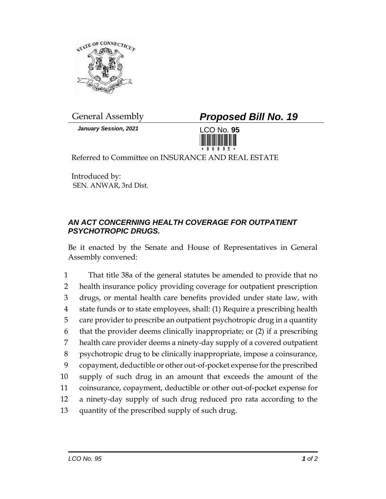

*January Session, 2021* LCO No. **95**

## General Assembly *Proposed Bill No. 19*



Referred to Committee on INSURANCE AND REAL ESTATE

Introduced by: SEN. ANWAR, 3rd Dist.

## *AN ACT CONCERNING HEALTH COVERAGE FOR OUTPATIENT PSYCHOTROPIC DRUGS.*

Be it enacted by the Senate and House of Representatives in General Assembly convened:

 That title 38a of the general statutes be amended to provide that no health insurance policy providing coverage for outpatient prescription drugs, or mental health care benefits provided under state law, with state funds or to state employees, shall: (1) Require a prescribing health care provider to prescribe an outpatient psychotropic drug in a quantity that the provider deems clinically inappropriate; or (2) if a prescribing health care provider deems a ninety-day supply of a covered outpatient psychotropic drug to be clinically inappropriate, impose a coinsurance, copayment, deductible or other out-of-pocket expense for the prescribed supply of such drug in an amount that exceeds the amount of the coinsurance, copayment, deductible or other out-of-pocket expense for a ninety-day supply of such drug reduced pro rata according to the quantity of the prescribed supply of such drug.